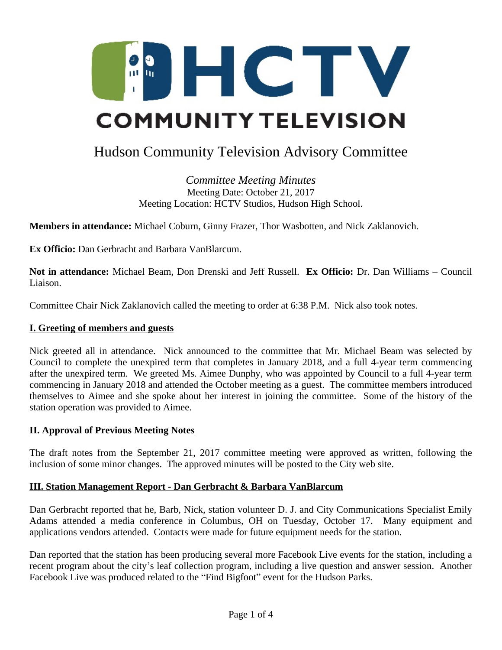

# Hudson Community Television Advisory Committee

*Committee Meeting Minutes* Meeting Date: October 21, 2017 Meeting Location: HCTV Studios, Hudson High School.

**Members in attendance:** Michael Coburn, Ginny Frazer, Thor Wasbotten, and Nick Zaklanovich.

**Ex Officio:** Dan Gerbracht and Barbara VanBlarcum.

**Not in attendance:** Michael Beam, Don Drenski and Jeff Russell. **Ex Officio:** Dr. Dan Williams – Council Liaison.

Committee Chair Nick Zaklanovich called the meeting to order at 6:38 P.M. Nick also took notes.

#### **I. Greeting of members and guests**

Nick greeted all in attendance. Nick announced to the committee that Mr. Michael Beam was selected by Council to complete the unexpired term that completes in January 2018, and a full 4-year term commencing after the unexpired term. We greeted Ms. Aimee Dunphy, who was appointed by Council to a full 4-year term commencing in January 2018 and attended the October meeting as a guest. The committee members introduced themselves to Aimee and she spoke about her interest in joining the committee. Some of the history of the station operation was provided to Aimee.

#### **II. Approval of Previous Meeting Notes**

The draft notes from the September 21, 2017 committee meeting were approved as written, following the inclusion of some minor changes. The approved minutes will be posted to the City web site.

#### **III. Station Management Report - Dan Gerbracht & Barbara VanBlarcum**

Dan Gerbracht reported that he, Barb, Nick, station volunteer D. J. and City Communications Specialist Emily Adams attended a media conference in Columbus, OH on Tuesday, October 17. Many equipment and applications vendors attended. Contacts were made for future equipment needs for the station.

Dan reported that the station has been producing several more Facebook Live events for the station, including a recent program about the city's leaf collection program, including a live question and answer session. Another Facebook Live was produced related to the "Find Bigfoot" event for the Hudson Parks.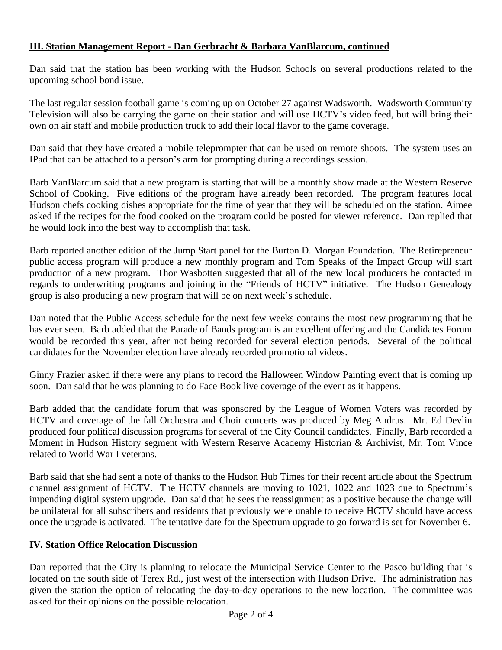## **III. Station Management Report - Dan Gerbracht & Barbara VanBlarcum, continued**

Dan said that the station has been working with the Hudson Schools on several productions related to the upcoming school bond issue.

The last regular session football game is coming up on October 27 against Wadsworth. Wadsworth Community Television will also be carrying the game on their station and will use HCTV's video feed, but will bring their own on air staff and mobile production truck to add their local flavor to the game coverage.

Dan said that they have created a mobile teleprompter that can be used on remote shoots. The system uses an IPad that can be attached to a person's arm for prompting during a recordings session.

Barb VanBlarcum said that a new program is starting that will be a monthly show made at the Western Reserve School of Cooking. Five editions of the program have already been recorded. The program features local Hudson chefs cooking dishes appropriate for the time of year that they will be scheduled on the station. Aimee asked if the recipes for the food cooked on the program could be posted for viewer reference. Dan replied that he would look into the best way to accomplish that task.

Barb reported another edition of the Jump Start panel for the Burton D. Morgan Foundation. The Retirepreneur public access program will produce a new monthly program and Tom Speaks of the Impact Group will start production of a new program. Thor Wasbotten suggested that all of the new local producers be contacted in regards to underwriting programs and joining in the "Friends of HCTV" initiative. The Hudson Genealogy group is also producing a new program that will be on next week's schedule.

Dan noted that the Public Access schedule for the next few weeks contains the most new programming that he has ever seen. Barb added that the Parade of Bands program is an excellent offering and the Candidates Forum would be recorded this year, after not being recorded for several election periods. Several of the political candidates for the November election have already recorded promotional videos.

Ginny Frazier asked if there were any plans to record the Halloween Window Painting event that is coming up soon. Dan said that he was planning to do Face Book live coverage of the event as it happens.

Barb added that the candidate forum that was sponsored by the League of Women Voters was recorded by HCTV and coverage of the fall Orchestra and Choir concerts was produced by Meg Andrus. Mr. Ed Devlin produced four political discussion programs for several of the City Council candidates. Finally, Barb recorded a Moment in Hudson History segment with Western Reserve Academy Historian & Archivist, Mr. Tom Vince related to World War I veterans.

Barb said that she had sent a note of thanks to the Hudson Hub Times for their recent article about the Spectrum channel assignment of HCTV. The HCTV channels are moving to 1021, 1022 and 1023 due to Spectrum's impending digital system upgrade. Dan said that he sees the reassignment as a positive because the change will be unilateral for all subscribers and residents that previously were unable to receive HCTV should have access once the upgrade is activated. The tentative date for the Spectrum upgrade to go forward is set for November 6.

#### **IV. Station Office Relocation Discussion**

Dan reported that the City is planning to relocate the Municipal Service Center to the Pasco building that is located on the south side of Terex Rd., just west of the intersection with Hudson Drive. The administration has given the station the option of relocating the day-to-day operations to the new location. The committee was asked for their opinions on the possible relocation.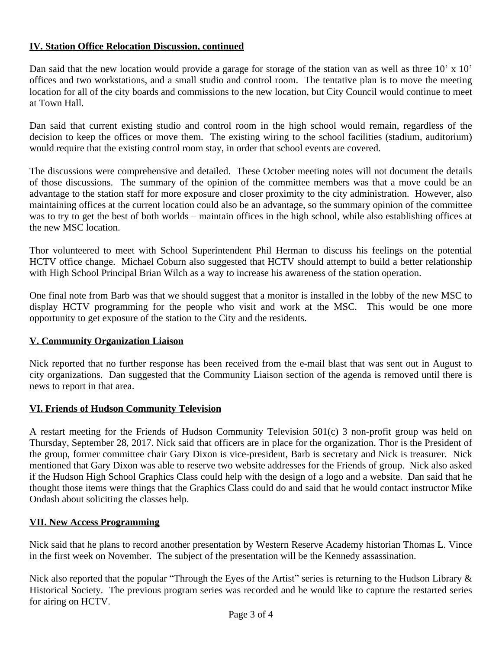### **IV. Station Office Relocation Discussion, continued**

Dan said that the new location would provide a garage for storage of the station van as well as three 10' x 10' offices and two workstations, and a small studio and control room. The tentative plan is to move the meeting location for all of the city boards and commissions to the new location, but City Council would continue to meet at Town Hall.

Dan said that current existing studio and control room in the high school would remain, regardless of the decision to keep the offices or move them. The existing wiring to the school facilities (stadium, auditorium) would require that the existing control room stay, in order that school events are covered.

The discussions were comprehensive and detailed. These October meeting notes will not document the details of those discussions. The summary of the opinion of the committee members was that a move could be an advantage to the station staff for more exposure and closer proximity to the city administration. However, also maintaining offices at the current location could also be an advantage, so the summary opinion of the committee was to try to get the best of both worlds – maintain offices in the high school, while also establishing offices at the new MSC location.

Thor volunteered to meet with School Superintendent Phil Herman to discuss his feelings on the potential HCTV office change. Michael Coburn also suggested that HCTV should attempt to build a better relationship with High School Principal Brian Wilch as a way to increase his awareness of the station operation.

One final note from Barb was that we should suggest that a monitor is installed in the lobby of the new MSC to display HCTV programming for the people who visit and work at the MSC. This would be one more opportunity to get exposure of the station to the City and the residents.

#### **V. Community Organization Liaison**

Nick reported that no further response has been received from the e-mail blast that was sent out in August to city organizations. Dan suggested that the Community Liaison section of the agenda is removed until there is news to report in that area.

#### **VI. Friends of Hudson Community Television**

A restart meeting for the Friends of Hudson Community Television 501(c) 3 non-profit group was held on Thursday, September 28, 2017. Nick said that officers are in place for the organization. Thor is the President of the group, former committee chair Gary Dixon is vice-president, Barb is secretary and Nick is treasurer. Nick mentioned that Gary Dixon was able to reserve two website addresses for the Friends of group. Nick also asked if the Hudson High School Graphics Class could help with the design of a logo and a website. Dan said that he thought those items were things that the Graphics Class could do and said that he would contact instructor Mike Ondash about soliciting the classes help.

#### **VII. New Access Programming**

Nick said that he plans to record another presentation by Western Reserve Academy historian Thomas L. Vince in the first week on November. The subject of the presentation will be the Kennedy assassination.

Nick also reported that the popular "Through the Eyes of the Artist" series is returning to the Hudson Library & Historical Society. The previous program series was recorded and he would like to capture the restarted series for airing on HCTV.